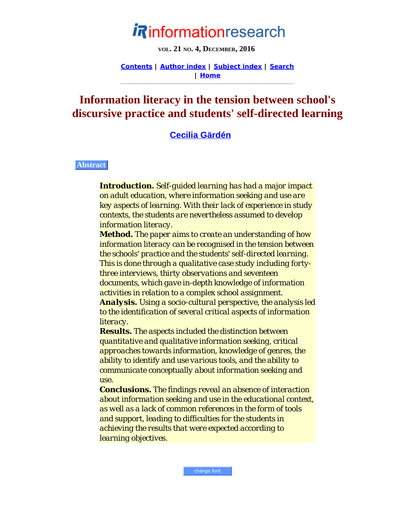# informationresearch

**VOL. 21 NO. 4, DECEMBER, 2016**

**[Contents](http://www.informationr.net/ir/21-4/infres214.html) | [Author index](http://www.informationr.net/ir/iraindex.html) | [Subject index](http://www.informationr.net/ir/irsindex.html) | [Search](http://www.informationr.net/ir/search.html) | [Home](http://www.informationr.net/ir/index.html)**

## **Information literacy in the tension between school's discursive practice and students' self-directed learning**

## **[Cecilia Gärdén](#page-22-0)**

#### **Abstract**

*Introduction. Self-guided learning has had a major impact on adult education, where information seeking and use are key aspects of learning. With their lack of experience in study contexts, the students are nevertheless assumed to develop information literacy.*

*Method. The paper aims to create an understanding of how information literacy can be recognised in the tension between the schools' practice and the students' self-directed learning. This is done through a qualitative case study including fortythree interviews, thirty observations and seventeen documents, which gave in-depth knowledge of information activities in relation to a complex school assignment. Analysis. Using a socio-cultural perspective, the analysis led*

*to the identification of several critical aspects of information literacy.*

*Results. The aspects included the distinction between quantitative and qualitative information seeking, critical approaches towards information, knowledge of genres, the ability to identify and use various tools, and the ability to communicate conceptually about information seeking and use.*

*Conclusions. The findings reveal an absence of interaction about information seeking and use in the educational context, as well as a lack of common references in the form of tools and support, leading to difficulties for the students in achieving the results that were expected according to learning objectives.*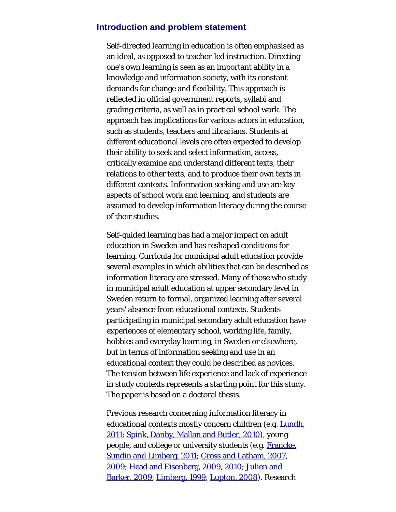#### **Introduction and problem statement**

Self-directed learning in education is often emphasised as an ideal, as opposed to teacher-led instruction. Directing one's own learning is seen as an important ability in a knowledge and information society, with its constant demands for change and flexibility. This approach is reflected in official government reports, syllabi and grading criteria, as well as in practical school work. The approach has implications for various actors in education, such as students, teachers and librarians. Students at different educational levels are often expected to develop their ability to seek and select information, access, critically examine and understand different texts, their relations to other texts, and to produce their own texts in different contexts. Information seeking and use are key aspects of school work and learning, and students are assumed to develop information literacy during the course of their studies.

Self-guided learning has had a major impact on adult education in Sweden and has reshaped conditions for learning. Curricula for municipal adult education provide several examples in which abilities that can be described as information literacy are stressed. Many of those who study in municipal adult education at upper secondary level in Sweden return to formal, organized learning after several years' absence from educational contexts. Students participating in municipal secondary adult education have experiences of elementary school, working life, family, hobbies and everyday learning, in Sweden or elsewhere, but in terms of information seeking and use in an educational context they could be described as novices. The tension between life experience and lack of experience in study contexts represents a starting point for this study. The paper is based on a doctoral thesis.

Previous research concerning information literacy in educational contexts mostly concern children (e.g. [Lundh,](#page-26-0) [2011; Spink, Danby, Mallan and Butler, 2010](#page-26-0)), young people, and college or university students (e.g. [Francke,](#page-26-0) [Sundin and Limberg, 2011; Gross and Latham, 2007](#page-26-0), [2009; Head and Eisenberg, 2009](#page-26-0), [2010](#page-26-0); [Julien and](#page-26-0) [Barker, 2009; Limberg, 1999; Lupton, 2008](#page-26-0)). Research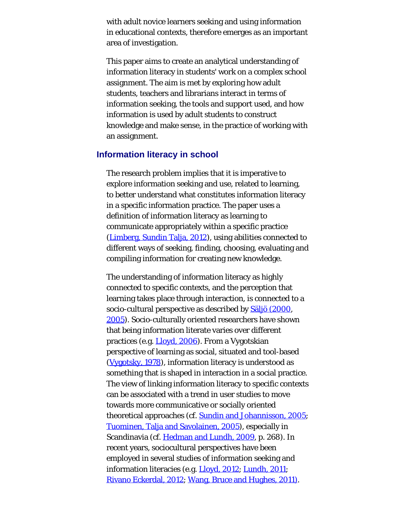with adult novice learners seeking and using information in educational contexts, therefore emerges as an important area of investigation.

This paper aims to create an analytical understanding of information literacy in students' work on a complex school assignment. The aim is met by exploring how adult students, teachers and librarians interact in terms of information seeking, the tools and support used, and how information is used by adult students to construct knowledge and make sense, in the practice of working with an assignment.

#### **Information literacy in school**

The research problem implies that it is imperative to explore information seeking and use, related to learning, to better understand what constitutes information literacy in a specific information practice. The paper uses a definition of information literacy as learning to communicate appropriately within a specific practice ([Limberg, Sundin Talja, 2012\)](#page-26-0), using abilities connected to different ways of seeking, finding, choosing, evaluating and compiling information for creating new knowledge.

The understanding of information literacy as highly connected to specific contexts, and the perception that learning takes place through interaction, is connected to a socio-cultural perspective as described by [Säljö \(2000](#page-26-1), [2005\)](#page-26-2). Socio-culturally oriented researchers have shown that being information literate varies over different practices (e.g. [Lloyd, 2006](#page-26-0)). From a Vygotskian perspective of learning as social, situated and tool-based ([Vygotsky, 1978](#page-26-3)), information literacy is understood as something that is shaped in interaction in a social practice. The view of linking information literacy to specific contexts can be associated with a trend in user studies to move towards more communicative or socially oriented theoretical approaches (cf. [Sundin and Johannisson, 2005](#page-26-4); [Tuominen, Talja and Savolainen, 2005\)](#page-26-5), especially in Scandinavia (cf. [Hedman and Lundh, 2009](#page-26-0), p. 268). In recent years, sociocultural perspectives have been employed in several studies of information seeking and information literacies (e.g. [Lloyd, 2012](#page-26-0); [Lundh, 2011](#page-26-0); [Rivano Eckerdal, 2012;](#page-26-0) [Wang, Bruce and Hughes, 2011\).](#page-26-6)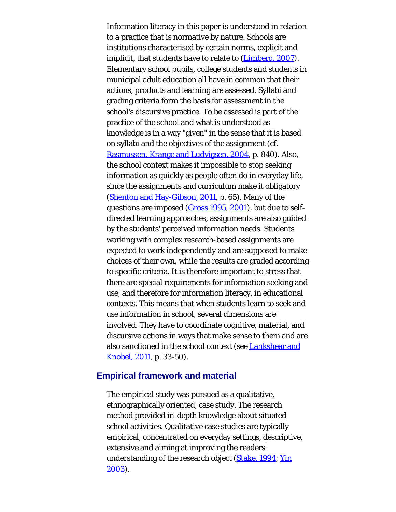Information literacy in this paper is understood in relation to a practice that is normative by nature. Schools are institutions characterised by certain norms, explicit and implicit, that students have to relate to [\(Limberg, 2007](#page-26-0)). Elementary school pupils, college students and students in municipal adult education all have in common that their actions, products and learning are assessed. Syllabi and grading criteria form the basis for assessment in the school's discursive practice. To be assessed is part of the practice of the school and what is understood as knowledge is in a way "given" in the sense that it is based on syllabi and the objectives of the assignment (cf. [Rasmussen, Krange and Ludvigsen, 2004](#page-26-0), p. 840). Also, the school context makes it impossible to stop seeking information as quickly as people often do in everyday life, since the assignments and curriculum make it obligatory ([Shenton and Hay-Gibson, 2011](#page-26-0), p. 65). Many of the questions are imposed ([Gross 1995](#page-26-0), [2001](#page-26-0)), but due to selfdirected learning approaches, assignments are also guided by the students' perceived information needs. Students working with complex research-based assignments are expected to work independently and are supposed to make choices of their own, while the results are graded according to specific criteria. It is therefore important to stress that there are special requirements for information seeking and use, and therefore for information literacy, in educational contexts. This means that when students learn to seek and use information in school, several dimensions are involved. They have to coordinate cognitive, material, and discursive actions in ways that make sense to them and are also sanctioned in the school context (see [Lankshear and](#page-26-0) [Knobel, 2011,](#page-26-0) p. 33-50).

#### **Empirical framework and material**

The empirical study was pursued as a qualitative, ethnographically oriented, case study. The research method provided in-depth knowledge about situated school activities. Qualitative case studies are typically empirical, concentrated on everyday settings, descriptive, extensive and aiming at improving the readers' understanding of the research object ([Stake, 1994;](#page-26-0) [Yin](#page-26-7) [2003\)](#page-26-7).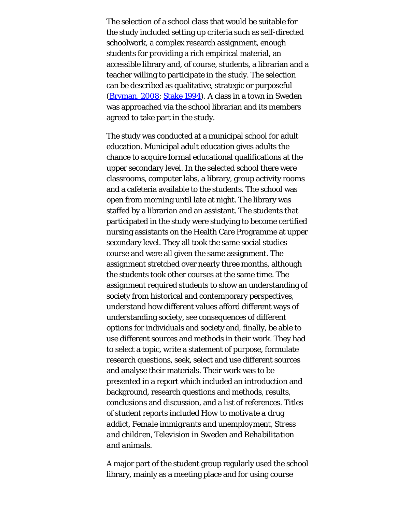The selection of a school class that would be suitable for the study included setting up criteria such as self-directed schoolwork, a complex research assignment, enough students for providing a rich empirical material, an accessible library and, of course, students, a librarian and a teacher willing to participate in the study. The selection can be described as qualitative, strategic or purposeful ([Bryman, 2008](#page-26-0); [Stake 1994](#page-26-0)). A class in a town in Sweden was approached via the school librarian and its members agreed to take part in the study.

The study was conducted at a municipal school for adult education. Municipal adult education gives adults the chance to acquire formal educational qualifications at the upper secondary level. In the selected school there were classrooms, computer labs, a library, group activity rooms and a cafeteria available to the students. The school was open from morning until late at night. The library was staffed by a librarian and an assistant. The students that participated in the study were studying to become certified nursing assistants on the Health Care Programme at upper secondary level. They all took the same social studies course and were all given the same assignment. The assignment stretched over nearly three months, although the students took other courses at the same time. The assignment required students to show an understanding of society from historical and contemporary perspectives, understand how different values afford different ways of understanding society, see consequences of different options for individuals and society and, finally, be able to use different sources and methods in their work. They had to select a topic, write a statement of purpose, formulate research questions, seek, select and use different sources and analyse their materials. Their work was to be presented in a report which included an introduction and background, research questions and methods, results, conclusions and discussion, and a list of references. Titles of student reports included *How to motivate a drug addict*, *Female immigrants and unemployment*, *Stress and children*, *Television in Sweden* and *Rehabilitation and animals*.

A major part of the student group regularly used the school library, mainly as a meeting place and for using course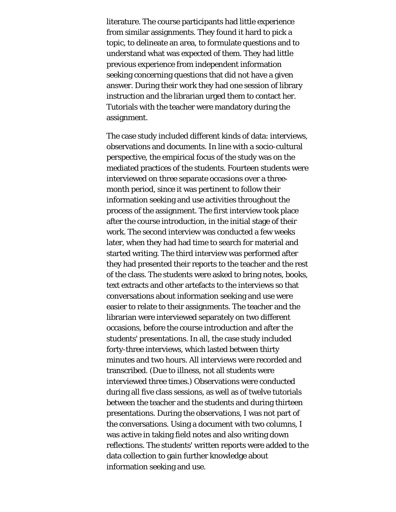literature. The course participants had little experience from similar assignments. They found it hard to pick a topic, to delineate an area, to formulate questions and to understand what was expected of them. They had little previous experience from independent information seeking concerning questions that did not have a given answer. During their work they had one session of library instruction and the librarian urged them to contact her. Tutorials with the teacher were mandatory during the assignment.

The case study included different kinds of data: interviews, observations and documents. In line with a socio-cultural perspective, the empirical focus of the study was on the mediated practices of the students. Fourteen students were interviewed on three separate occasions over a threemonth period, since it was pertinent to follow their information seeking and use activities throughout the process of the assignment. The first interview took place after the course introduction, in the initial stage of their work. The second interview was conducted a few weeks later, when they had had time to search for material and started writing. The third interview was performed after they had presented their reports to the teacher and the rest of the class. The students were asked to bring notes, books, text extracts and other artefacts to the interviews so that conversations about information seeking and use were easier to relate to their assignments. The teacher and the librarian were interviewed separately on two different occasions, before the course introduction and after the students' presentations. In all, the case study included forty-three interviews, which lasted between thirty minutes and two hours. All interviews were recorded and transcribed. (Due to illness, not all students were interviewed three times.) Observations were conducted during all five class sessions, as well as of twelve tutorials between the teacher and the students and during thirteen presentations. During the observations, I was not part of the conversations. Using a document with two columns, I was active in taking field notes and also writing down reflections. The students' written reports were added to the data collection to gain further knowledge about information seeking and use.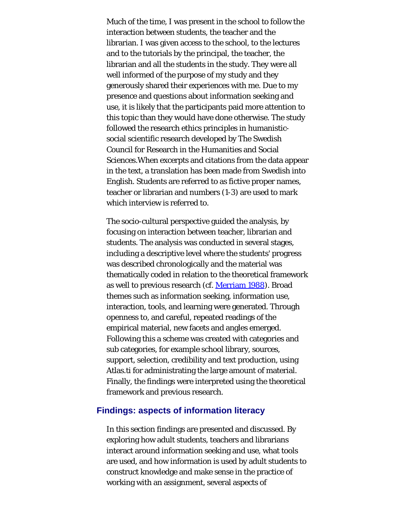Much of the time, I was present in the school to follow the interaction between students, the teacher and the librarian. I was given access to the school, to the lectures and to the tutorials by the principal, the teacher, the librarian and all the students in the study. They were all well informed of the purpose of my study and they generously shared their experiences with me. Due to my presence and questions about information seeking and use, it is likely that the participants paid more attention to this topic than they would have done otherwise. The study followed the research ethics principles in humanisticsocial scientific research developed by The Swedish Council for Research in the Humanities and Social Sciences.When excerpts and citations from the data appear in the text, a translation has been made from Swedish into English. Students are referred to as fictive proper names, teacher or librarian and numbers (1-3) are used to mark which interview is referred to.

The socio-cultural perspective guided the analysis, by focusing on interaction between teacher, librarian and students. The analysis was conducted in several stages, including a descriptive level where the students' progress was described chronologically and the material was thematically coded in relation to the theoretical framework as well to previous research (cf. [Merriam 1988](#page-26-0)). Broad themes such as information seeking, information use, interaction, tools, and learning were generated. Through openness to, and careful, repeated readings of the empirical material, new facets and angles emerged. Following this a scheme was created with categories and sub categories, for example school library, sources, support, selection, credibility and text production, using Atlas.ti for administrating the large amount of material. Finally, the findings were interpreted using the theoretical framework and previous research.

#### **Findings: aspects of information literacy**

In this section findings are presented and discussed. By exploring how adult students, teachers and librarians interact around information seeking and use, what tools are used, and how information is used by adult students to construct knowledge and make sense in the practice of working with an assignment, several aspects of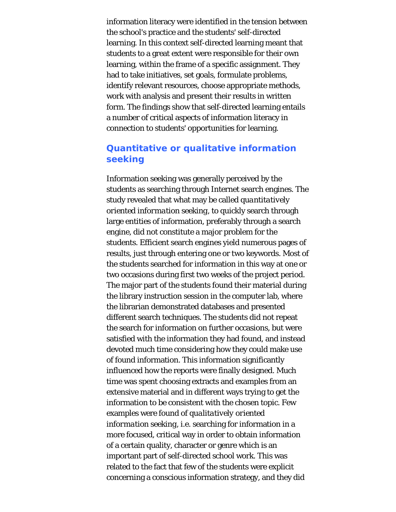information literacy were identified in the tension between the school's practice and the students' self-directed learning. In this context self-directed learning meant that students to a great extent were responsible for their own learning, within the frame of a specific assignment. They had to take initiatives, set goals, formulate problems, identify relevant resources, choose appropriate methods, work with analysis and present their results in written form. The findings show that self-directed learning entails a number of critical aspects of information literacy in connection to students' opportunities for learning.

## **Quantitative or qualitative information seeking**

Information seeking was generally perceived by the students as searching through Internet search engines. The study revealed that what may be called *quantitatively oriented information seeking*, to quickly search through large entities of information, preferably through a search engine, did not constitute a major problem for the students. Efficient search engines yield numerous pages of results, just through entering one or two keywords. Most of the students searched for information in this way at one or two occasions during first two weeks of the project period. The major part of the students found their material during the library instruction session in the computer lab, where the librarian demonstrated databases and presented different search techniques. The students did not repeat the search for information on further occasions, but were satisfied with the information they had found, and instead devoted much time considering how they could make use of found information. This information significantly influenced how the reports were finally designed. Much time was spent choosing extracts and examples from an extensive material and in different ways trying to get the information to be consistent with the chosen topic. Few examples were found of *qualitatively oriented information seeking*, i.e. searching for information in a more focused, critical way in order to obtain information of a certain quality, character or genre which is an important part of self-directed school work. This was related to the fact that few of the students were explicit concerning a conscious information strategy, and they did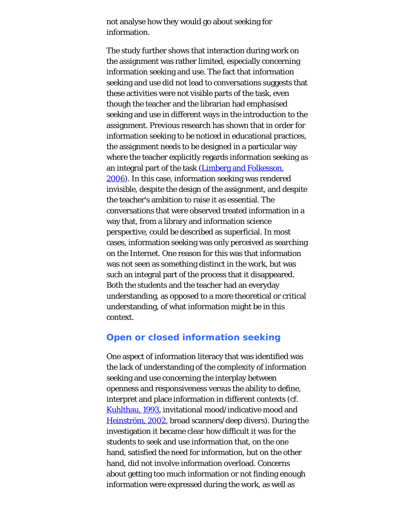not analyse how they would go about seeking for information.

The study further shows that interaction during work on the assignment was rather limited, especially concerning information seeking and use. The fact that information seeking and use did not lead to conversations suggests that these activities were not visible parts of the task, even though the teacher and the librarian had emphasised seeking and use in different ways in the introduction to the assignment. Previous research has shown that in order for information seeking to be noticed in educational practices, the assignment needs to be designed in a particular way where the teacher explicitly regards information seeking as an integral part of the task ([Limberg and Folkesson,](#page-26-0) [2006\)](#page-26-0). In this case, information seeking was rendered invisible, despite the design of the assignment, and despite the teacher's ambition to raise it as essential. The conversations that were observed treated information in a way that, from a library and information science perspective, could be described as superficial. In most cases, information seeking was only perceived as searching on the Internet. One reason for this was that information was not seen as something distinct in the work, but was such an integral part of the process that it disappeared. Both the students and the teacher had an everyday understanding, as opposed to a more theoretical or critical understanding, of what information might be in this context.

## **Open or closed information seeking**

One aspect of information literacy that was identified was the lack of understanding of the complexity of information seeking and use concerning the interplay between openness and responsiveness versus the ability to define, interpret and place information in different contexts (cf. [Kuhlthau, 1993,](#page-26-0) invitational mood/indicative mood and [Heinström, 2002,](#page-26-0) broad scanners/deep divers). During the investigation it became clear how difficult it was for the students to seek and use information that, on the one hand, satisfied the need for information, but on the other hand, did not involve information overload. Concerns about getting too much information or not finding enough information were expressed during the work, as well as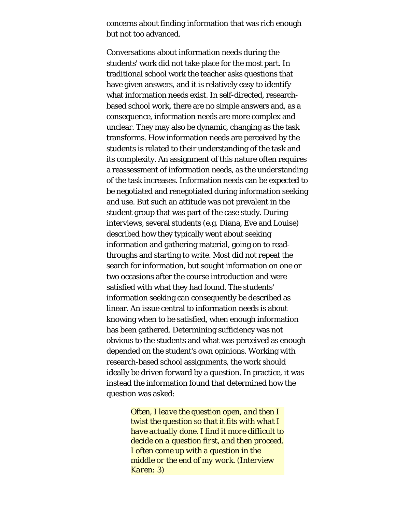concerns about finding information that was rich enough but not too advanced.

Conversations about information needs during the students' work did not take place for the most part. In traditional school work the teacher asks questions that have given answers, and it is relatively easy to identify what information needs exist. In self-directed, researchbased school work, there are no simple answers and, as a consequence, information needs are more complex and unclear. They may also be dynamic, changing as the task transforms. How information needs are perceived by the students is related to their understanding of the task and its complexity. An assignment of this nature often requires a reassessment of information needs, as the understanding of the task increases. Information needs can be expected to be negotiated and renegotiated during information seeking and use. But such an attitude was not prevalent in the student group that was part of the case study. During interviews, several students (e.g. Diana, Eve and Louise) described how they typically went about seeking information and gathering material, going on to readthroughs and starting to write. Most did not repeat the search for information, but sought information on one or two occasions after the course introduction and were satisfied with what they had found. The students' information seeking can consequently be described as linear. An issue central to information needs is about knowing when to be satisfied, when enough information has been gathered. Determining sufficiency was not obvious to the students and what was perceived as enough depended on the student's own opinions. Working with research-based school assignments, the work should ideally be driven forward by a question. In practice, it was instead the information found that determined how the question was asked:

> *Often, I leave the question open, and then I twist the question so that it fits with what I have actually done. I find it more difficult to decide on a question first, and then proceed. I often come up with a question in the middle or the end of my work. (Interview Karen: 3)*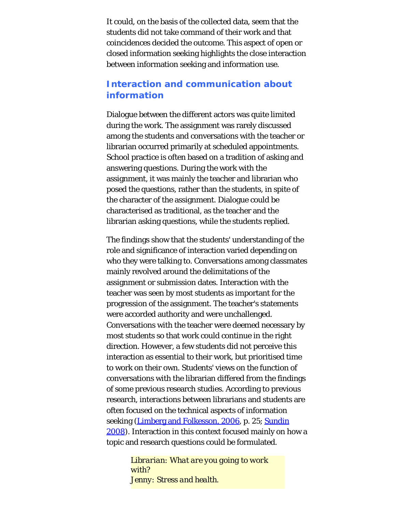It could, on the basis of the collected data, seem that the students did not take command of their work and that coincidences decided the outcome. This aspect of open or closed information seeking highlights the close interaction between information seeking and information use.

## **Interaction and communication about information**

Dialogue between the different actors was quite limited during the work. The assignment was rarely discussed among the students and conversations with the teacher or librarian occurred primarily at scheduled appointments. School practice is often based on a tradition of asking and answering questions. During the work with the assignment, it was mainly the teacher and librarian who posed the questions, rather than the students, in spite of the character of the assignment. Dialogue could be characterised as traditional, as the teacher and the librarian asking questions, while the students replied.

The findings show that the students' understanding of the role and significance of interaction varied depending on who they were talking to. Conversations among classmates mainly revolved around the delimitations of the assignment or submission dates. Interaction with the teacher was seen by most students as important for the progression of the assignment. The teacher's statements were accorded authority and were unchallenged. Conversations with the teacher were deemed necessary by most students so that work could continue in the right direction. However, a few students did not perceive this interaction as essential to their work, but prioritised time to work on their own. Students' views on the function of conversations with the librarian differed from the findings of some previous research studies. According to previous research, interactions between librarians and students are often focused on the technical aspects of information seeking ([Limberg and Folkesson, 2006](#page-26-0), p. 25; [Sundin](#page-26-0) [2008\)](#page-26-0). Interaction in this context focused mainly on how a topic and research questions could be formulated.

> *Librarian: What are you going to work with? Jenny: Stress and health.*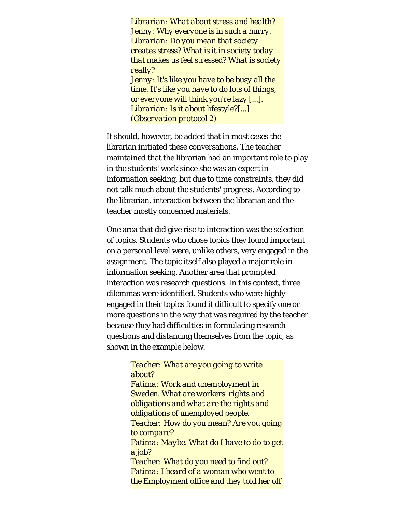*Librarian: What about stress and health? Jenny: Why everyone is in such a hurry. Librarian: Do you mean that society creates stress? What is it in society today that makes us feel stressed? What is society really? Jenny: It's like you have to be busy all the time. It's like you have to do lots of things, or everyone will think you're lazy [...]. Librarian: Is it about lifestyle?[...] (Observation protocol 2)*

It should, however, be added that in most cases the librarian initiated these conversations. The teacher maintained that the librarian had an important role to play in the students' work since she was an expert in information seeking, but due to time constraints, they did not talk much about the students' progress. According to the librarian, interaction between the librarian and the teacher mostly concerned materials.

One area that did give rise to interaction was the selection of topics. Students who chose topics they found important on a personal level were, unlike others, very engaged in the assignment. The topic itself also played a major role in information seeking. Another area that prompted interaction was research questions. In this context, three dilemmas were identified. Students who were highly engaged in their topics found it difficult to specify one or more questions in the way that was required by the teacher because they had difficulties in formulating research questions and distancing themselves from the topic, as shown in the example below.

## *Teacher: What are you going to write about? Fatima: Work and unemployment in Sweden. What are workers' rights and obligations and what are the rights and obligations of unemployed people. Teacher: How do you mean? Are you going to compare? Fatima: Maybe. What do I have to do to get*

*a job? Teacher: What do you need to find out? Fatima: I heard of a woman who went to the Employment office and they told her off*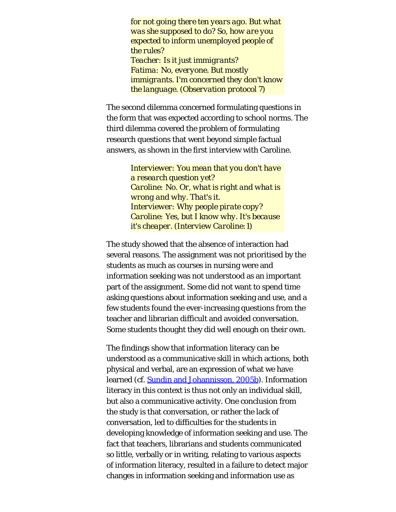*for not going there ten years ago. But what was she supposed to do? So, how are you expected to inform unemployed people of the rules? Teacher: Is it just immigrants? Fatima: No, everyone. But mostly immigrants. I'm concerned they don't know the language. (Observation protocol 7)*

The second dilemma concerned formulating questions in the form that was expected according to school norms. The third dilemma covered the problem of formulating research questions that went beyond simple factual answers, as shown in the first interview with Caroline.

> *Interviewer: You mean that you don't have a research question yet? Caroline: No. Or, what is right and what is wrong and why. That's it. Interviewer: Why people pirate copy? Caroline: Yes, but I know why. It's because it's cheaper. (Interview Caroline:1)*

The study showed that the absence of interaction had several reasons. The assignment was not prioritised by the students as much as courses in nursing were and information seeking was not understood as an important part of the assignment. Some did not want to spend time asking questions about information seeking and use, and a few students found the ever-increasing questions from the teacher and librarian difficult and avoided conversation. Some students thought they did well enough on their own.

The findings show that information literacy can be understood as a communicative skill in which actions, both physical and verbal, are an expression of what we have learned (cf. [Sundin and Johannisson, 2005b](#page-26-8)). Information literacy in this context is thus not only an individual skill, but also a communicative activity. One conclusion from the study is that conversation, or rather the lack of conversation, led to difficulties for the students in developing knowledge of information seeking and use. The fact that teachers, librarians and students communicated so little, verbally or in writing, relating to various aspects of information literacy, resulted in a failure to detect major changes in information seeking and information use as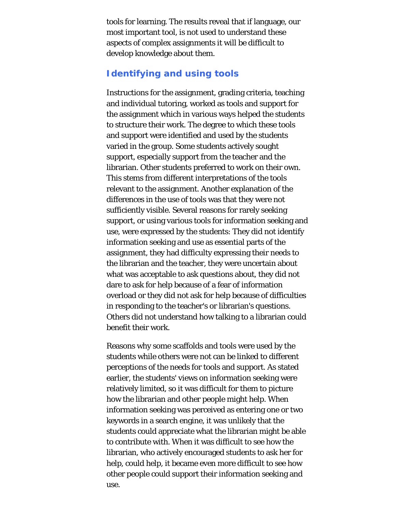tools for learning. The results reveal that if language, our most important tool, is not used to understand these aspects of complex assignments it will be difficult to develop knowledge about them.

## **Identifying and using tools**

Instructions for the assignment, grading criteria, teaching and individual tutoring, worked as tools and support for the assignment which in various ways helped the students to structure their work. The degree to which these tools and support were identified and used by the students varied in the group. Some students actively sought support, especially support from the teacher and the librarian. Other students preferred to work on their own. This stems from different interpretations of the tools relevant to the assignment. Another explanation of the differences in the use of tools was that they were not sufficiently visible. Several reasons for rarely seeking support, or using various tools for information seeking and use, were expressed by the students: They did not identify information seeking and use as essential parts of the assignment, they had difficulty expressing their needs to the librarian and the teacher, they were uncertain about what was acceptable to ask questions about, they did not dare to ask for help because of a fear of information overload or they did not ask for help because of difficulties in responding to the teacher's or librarian's questions. Others did not understand how talking to a librarian could benefit their work.

Reasons why some scaffolds and tools were used by the students while others were not can be linked to different perceptions of the needs for tools and support. As stated earlier, the students' views on information seeking were relatively limited, so it was difficult for them to picture how the librarian and other people might help. When information seeking was perceived as entering one or two keywords in a search engine, it was unlikely that the students could appreciate what the librarian might be able to contribute with. When it was difficult to see how the librarian, who actively encouraged students to ask her for help, could help, it became even more difficult to see how other people could support their information seeking and use.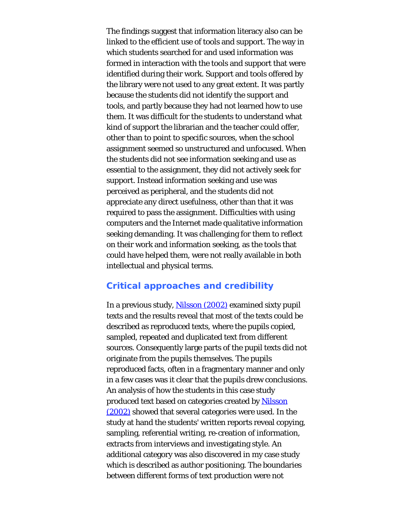The findings suggest that information literacy also can be linked to the efficient use of tools and support. The way in which students searched for and used information was formed in interaction with the tools and support that were identified during their work. Support and tools offered by the library were not used to any great extent. It was partly because the students did not identify the support and tools, and partly because they had not learned how to use them. It was difficult for the students to understand what kind of support the librarian and the teacher could offer, other than to point to specific sources, when the school assignment seemed so unstructured and unfocused. When the students did not see information seeking and use as essential to the assignment, they did not actively seek for support. Instead information seeking and use was perceived as peripheral, and the students did not appreciate any direct usefulness, other than that it was required to pass the assignment. Difficulties with using computers and the Internet made qualitative information seeking demanding. It was challenging for them to reflect on their work and information seeking, as the tools that could have helped them, were not really available in both intellectual and physical terms.

## **Critical approaches and credibility**

In a previous study, [Nilsson \(2002\)](#page-26-0) examined sixty pupil texts and the results reveal that most of the texts could be described as reproduced texts, where the pupils copied, sampled, repeated and duplicated text from different sources. Consequently large parts of the pupil texts did not originate from the pupils themselves. The pupils reproduced facts, often in a fragmentary manner and only in a few cases was it clear that the pupils drew conclusions. An analysis of how the students in this case study produced text based on categories created by [Nilsson](#page-26-0) [\(2002\)](#page-26-0) showed that several categories were used. In the study at hand the students' written reports reveal copying, sampling, referential writing, re-creation of information, extracts from interviews and investigating style. An additional category was also discovered in my case study which is described as author positioning. The boundaries between different forms of text production were not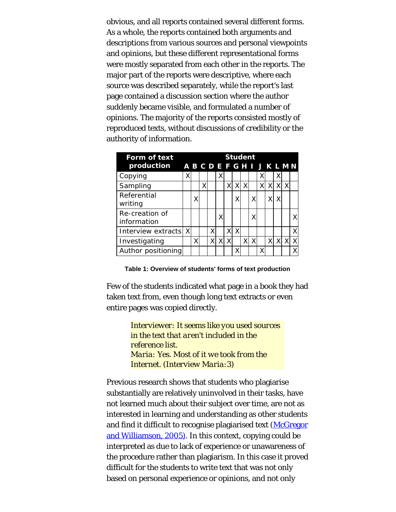obvious, and all reports contained several different forms. As a whole, the reports contained both arguments and descriptions from various sources and personal viewpoints and opinions, but these different representational forms were mostly separated from each other in the reports. The major part of the reports were descriptive, where each source was described separately, while the report's last page contained a discussion section where the author suddenly became visible, and formulated a number of opinions. The majority of the reports consisted mostly of reproduced texts, without discussions of credibility or the authority of information.

| Form of text                  | <b>Student</b> |   |   |  |   |    |   |   |          |   |    |   |  |  |
|-------------------------------|----------------|---|---|--|---|----|---|---|----------|---|----|---|--|--|
| production ABCDEFGHIJKLMN     |                |   |   |  |   |    |   |   |          |   |    |   |  |  |
| Copying                       |                |   |   |  | Χ |    |   |   |          | χ |    | Χ |  |  |
| Sampling                      |                |   | X |  |   | X  | X | X |          | Χ | XI |   |  |  |
| Referential<br>writing        |                | Χ |   |  |   |    | Χ |   | X        |   |    |   |  |  |
| Re-creation of<br>information |                |   |   |  |   |    |   |   | χ        |   |    |   |  |  |
| Interview extracts X          |                |   |   |  |   | X. | Χ |   |          |   |    |   |  |  |
| Investigating                 |                | X |   |  |   | X  |   | X | $\times$ |   | Χl | X |  |  |
| Author positioning            |                |   |   |  |   |    | χ |   |          | χ |    |   |  |  |

**Table 1: Overview of students' forms of text production**

Few of the students indicated what page in a book they had taken text from, even though long text extracts or even entire pages was copied directly.

> *Interviewer: It seems like you used sources in the text that aren't included in the reference list. Maria: Yes. Most of it we took from the Internet. (Interview Maria:3)*

Previous research shows that students who plagiarise substantially are relatively uninvolved in their tasks, have not learned much about their subject over time, are not as interested in learning and understanding as other students and find it difficult to recognise plagiarised text [\(McGregor](#page-26-0) [and Williamson, 2005\).](#page-26-0) In this context, copying could be interpreted as due to lack of experience or unawareness of the procedure rather than plagiarism. In this case it proved difficult for the students to write text that was not only based on personal experience or opinions, and not only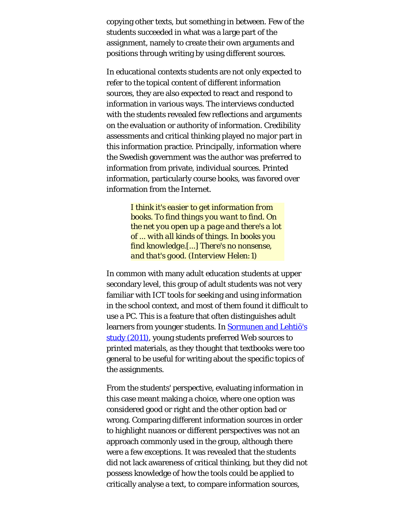copying other texts, but something in between. Few of the students succeeded in what was a large part of the assignment, namely to create their own arguments and positions through writing by using different sources.

In educational contexts students are not only expected to refer to the topical content of different information sources, they are also expected to react and respond to information in various ways. The interviews conducted with the students revealed few reflections and arguments on the evaluation or authority of information. Credibility assessments and critical thinking played no major part in this information practice. Principally, information where the Swedish government was the author was preferred to information from private, individual sources. Printed information, particularly course books, was favored over information from the Internet.

> *I think it's easier to get information from books. To find things you want to find. On the net you open up a page and there's a lot of ... with all kinds of things. In books you find knowledge.[...] There's no nonsense, and that's good. (Interview Helen:1)*

In common with many adult education students at upper secondary level, this group of adult students was not very familiar with ICT tools for seeking and using information in the school context, and most of them found it difficult to use a PC. This is a feature that often distinguishes adult learners from younger students. In **Sormunen and Lehtiö's** [study \(2011\),](#page-26-0) young students preferred Web sources to printed materials, as they thought that textbooks were too general to be useful for writing about the specific topics of the assignments.

From the students' perspective, evaluating information in this case meant making a choice, where one option was considered good or right and the other option bad or wrong. Comparing different information sources in order to highlight nuances or different perspectives was not an approach commonly used in the group, although there were a few exceptions. It was revealed that the students did not lack awareness of critical thinking, but they did not possess knowledge of how the tools could be applied to critically analyse a text, to compare information sources,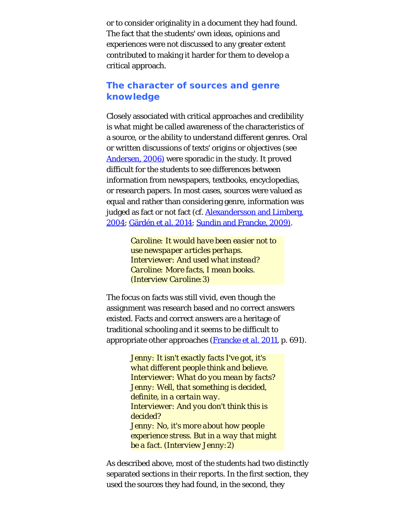or to consider originality in a document they had found. The fact that the students' own ideas, opinions and experiences were not discussed to any greater extent contributed to making it harder for them to develop a critical approach.

## **The character of sources and genre knowledge**

Closely associated with critical approaches and credibility is what might be called awareness of the characteristics of a source, or the ability to understand different genres. Oral or written discussions of texts' origins or objectives (see [Andersen, 2006\)](#page-26-0) were sporadic in the study. It proved difficult for the students to see differences between information from newspapers, textbooks, encyclopedias, or research papers. In most cases, sources were valued as equal and rather than considering genre, information was judged as fact or not fact (cf. **Alexandersson and Limberg**, [2004; Gärdén](#page-26-0) *[et al.](#page-26-0)* [2014](#page-26-0); [Sundin and Francke, 2009\)](#page-26-9).

> *Caroline: It would have been easier not to use newspaper articles perhaps. Interviewer: And used what instead? Caroline: More facts, I mean books. (Interview Caroline:3)*

The focus on facts was still vivid, even though the assignment was research based and no correct answers existed. Facts and correct answers are a heritage of traditional schooling and it seems to be difficult to appropriate other approaches [\(Francke](#page-26-0) *[et al.](#page-26-0)* [2011](#page-26-0), p. 691).

> *Jenny: It isn't exactly facts I've got, it's what different people think and believe. Interviewer: What do you mean by facts? Jenny: Well, that something is decided, definite, in a certain way. Interviewer: And you don't think this is decided? Jenny: No, it's more about how people experience stress. But in a way that might be a fact. (Interview Jenny:2)*

As described above, most of the students had two distinctly separated sections in their reports. In the first section, they used the sources they had found, in the second, they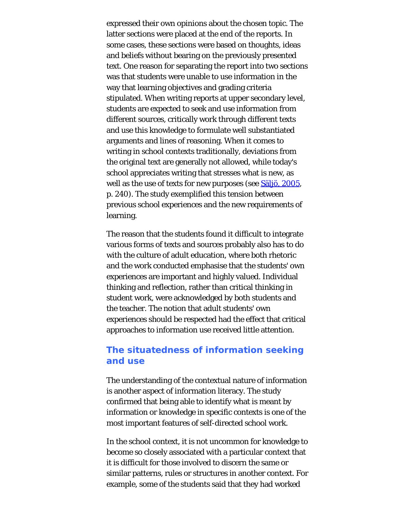expressed their own opinions about the chosen topic. The latter sections were placed at the end of the reports. In some cases, these sections were based on thoughts, ideas and beliefs without bearing on the previously presented text. One reason for separating the report into two sections was that students were unable to use information in the way that learning objectives and grading criteria stipulated. When writing reports at upper secondary level, students are expected to seek and use information from different sources, critically work through different texts and use this knowledge to formulate well substantiated arguments and lines of reasoning. When it comes to writing in school contexts traditionally, deviations from the original text are generally not allowed, while today's school appreciates writing that stresses what is new, as well as the use of texts for new purposes (see **Saljo**, 2005, p. 240). The study exemplified this tension between previous school experiences and the new requirements of learning.

The reason that the students found it difficult to integrate various forms of texts and sources probably also has to do with the culture of adult education, where both rhetoric and the work conducted emphasise that the students' own experiences are important and highly valued. Individual thinking and reflection, rather than critical thinking in student work, were acknowledged by both students and the teacher. The notion that adult students' own experiences should be respected had the effect that critical approaches to information use received little attention.

## **The situatedness of information seeking and use**

The understanding of the contextual nature of information is another aspect of information literacy. The study confirmed that being able to identify what is meant by information or knowledge in specific contexts is one of the most important features of self-directed school work.

In the school context, it is not uncommon for knowledge to become so closely associated with a particular context that it is difficult for those involved to discern the same or similar patterns, rules or structures in another context. For example, some of the students said that they had worked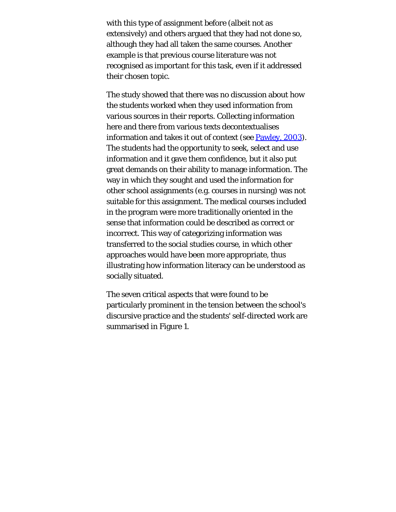with this type of assignment before (albeit not as extensively) and others argued that they had not done so, although they had all taken the same courses. Another example is that previous course literature was not recognised as important for this task, even if it addressed their chosen topic.

The study showed that there was no discussion about how the students worked when they used information from various sources in their reports. Collecting information here and there from various texts decontextualises information and takes it out of context (see **[Pawley, 2003](#page-26-0)**). The students had the opportunity to seek, select and use information and it gave them confidence, but it also put great demands on their ability to manage information. The way in which they sought and used the information for other school assignments (e.g. courses in nursing) was not suitable for this assignment. The medical courses included in the program were more traditionally oriented in the sense that information could be described as correct or incorrect. This way of categorizing information was transferred to the social studies course, in which other approaches would have been more appropriate, thus illustrating how information literacy can be understood as socially situated.

The seven critical aspects that were found to be particularly prominent in the tension between the school's discursive practice and the students' self-directed work are summarised in Figure 1.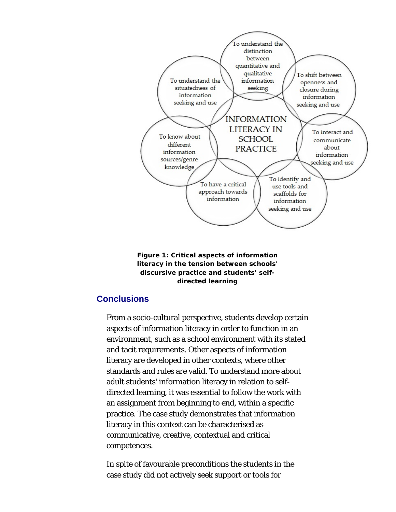

**Figure 1: Critical aspects of information literacy in the tension between schools' discursive practice and students' selfdirected learning**

## **Conclusions**

From a socio-cultural perspective, students develop certain aspects of information literacy in order to function in an environment, such as a school environment with its stated and tacit requirements. Other aspects of information literacy are developed in other contexts, where other standards and rules are valid. To understand more about adult students' information literacy in relation to selfdirected learning, it was essential to follow the work with an assignment from beginning to end, within a specific practice. The case study demonstrates that information literacy in this context can be characterised as communicative, creative, contextual and critical competences.

In spite of favourable preconditions the students in the case study did not actively seek support or tools for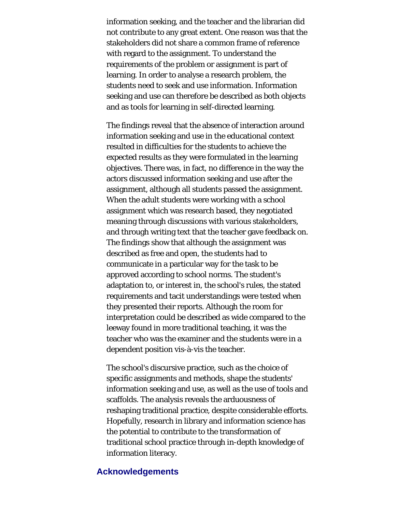information seeking, and the teacher and the librarian did not contribute to any great extent. One reason was that the stakeholders did not share a common frame of reference with regard to the assignment. To understand the requirements of the problem or assignment is part of learning. In order to analyse a research problem, the students need to seek and use information. Information seeking and use can therefore be described as both objects and as tools for learning in self-directed learning.

The findings reveal that the absence of interaction around information seeking and use in the educational context resulted in difficulties for the students to achieve the expected results as they were formulated in the learning objectives. There was, in fact, no difference in the way the actors discussed information seeking and use after the assignment, although all students passed the assignment. When the adult students were working with a school assignment which was research based, they negotiated meaning through discussions with various stakeholders, and through writing text that the teacher gave feedback on. The findings show that although the assignment was described as free and open, the students had to communicate in a particular way for the task to be approved according to school norms. The student's adaptation to, or interest in, the school's rules, the stated requirements and tacit understandings were tested when they presented their reports. Although the room for interpretation could be described as wide compared to the leeway found in more traditional teaching, it was the teacher who was the examiner and the students were in a dependent position vis-à-vis the teacher.

The school's discursive practice, such as the choice of specific assignments and methods, shape the students' information seeking and use, as well as the use of tools and scaffolds. The analysis reveals the arduousness of reshaping traditional practice, despite considerable efforts. Hopefully, research in library and information science has the potential to contribute to the transformation of traditional school practice through in-depth knowledge of information literacy.

## **Acknowledgements**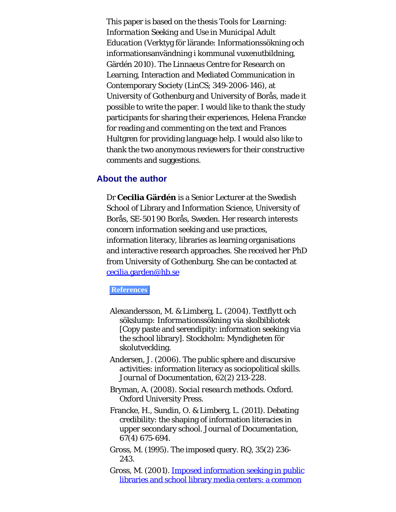This paper is based on the thesis *Tools for Learning: Information Seeking and Use in Municipal Adult Education* (Verktyg för lärande: Informationssökning och informationsanvändning i kommunal vuxenutbildning, Gärdén 2010). The Linnaeus Centre for Research on Learning, Interaction and Mediated Communication in Contemporary Society (LinCS; 349-2006-146), at University of Gothenburg and University of Borås, made it possible to write the paper. I would like to thank the study participants for sharing their experiences, Helena Francke for reading and commenting on the text and Frances Hultgren for providing language help. I would also like to thank the two anonymous reviewers for their constructive comments and suggestions.

## <span id="page-22-0"></span>**About the author**

Dr **Cecilia Gärdén** is a Senior Lecturer at the Swedish School of Library and Information Science, University of Borås, SE-501 90 Borås, Sweden. Her research interests concern information seeking and use practices, information literacy, libraries as learning organisations and interactive research approaches. She received her PhD from University of Gothenburg. She can be contacted at [cecilia.garden@hb.se](mailto:cecilia.garden@hb.se)

#### **References**

- Alexandersson, M. & Limberg, L. (2004). *Textflytt och sökslump: Informationssökning via skolbibliotek* [Copy paste and serendipity: information seeking via the school library]. Stockholm: Myndigheten för skolutveckling.
- Andersen, J. (2006). The public sphere and discursive activities: information literacy as sociopolitical skills. *Journal of Documentation, 62*(2) 213-228.
- Bryman, A. (2008). *Social research methods*. Oxford. Oxford University Press.
- Francke, H., Sundin, O. & Limberg, L. (2011). Debating credibility: the shaping of information literacies in upper secondary school. *Journal of Documentation, 67*(4) 675-694.
- Gross, M. (1995). The imposed query. *RQ, 35*(2) 236- 243.
- Gross, M. (2001). [Imposed information seeking in public](http://www.webcitation.org/5uRBaqRrB) [libraries and school library media centers: a common](http://www.webcitation.org/5uRBaqRrB)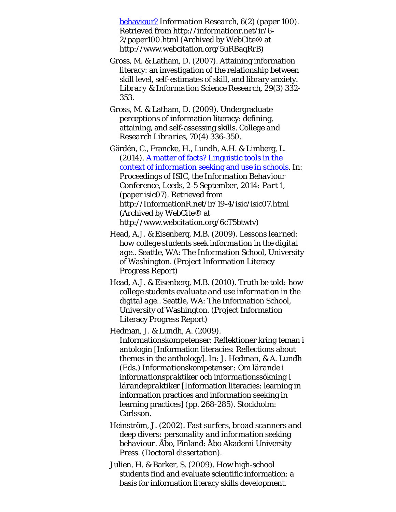[behaviour?](http://www.webcitation.org/5uRBaqRrB) *Information Research, 6*(2) (paper 100). Retrieved from http://informationr.net/ir/6- 2/paper100.html (Archived by WebCite® at http://www.webcitation.org/5uRBaqRrB)

- Gross, M. & Latham, D. (2007). Attaining information literacy: an investigation of the relationship between skill level, self-estimates of skill, and library anxiety. *Library & Information Science Research, 29*(3) 332- 353.
- Gross, M. & Latham, D. (2009). Undergraduate perceptions of information literacy: defining, attaining, and self-assessing skills. *College and Research Libraries, 70*(4) 336-350.

Gärdén, C., Francke, H., Lundh, A.H. & Limberg, L. (2014). [A matter of facts? Linguistic tools in the](http://www.webcitation.org/6cT5btwtv) [context of information seeking and use in schools.](http://www.webcitation.org/6cT5btwtv) In: *Proceedings of ISIC, the Information Behaviour Conference, Leeds, 2-5 September, 2014: Part 1*, (paper isic07). Retrieved from http://InformationR.net/ir/19-4/isic/isic07.html (Archived by WebCite® at http://www.webcitation.org/6cT5btwtv)

- Head, A.J. & Eisenberg, M.B. (2009). *Lessons learned: how college students seek information in the digital age.*. Seattle, WA: The Information School, University of Washington. (Project Information Literacy Progress Report)
- Head, A.J. & Eisenberg, M.B. (2010). *Truth be told: how college students evaluate and use information in the digital age.*. Seattle, WA: The Information School, University of Washington. (Project Information Literacy Progress Report)

Hedman, J. & Lundh, A. (2009). Informationskompetenser: Reflektioner kring teman i antologin [Information literacies: Reflections about themes in the anthology]. In: J. Hedman, & A. Lundh (Eds.) *Informationskompetenser: Om lärande i informationspraktiker och informationssökning i lärandepraktiker* [Information literacies: learning in information practices and information seeking in learning practices] (pp. 268-285). Stockholm: Carlsson.

- Heinström, J. (2002). *Fast surfers, broad scanners and deep divers: personality and information seeking behaviour*. Åbo, Finland: Åbo Akademi University Press. (Doctoral dissertation).
- Julien, H. & Barker, S. (2009). How high-school students find and evaluate scientific information: a basis for information literacy skills development.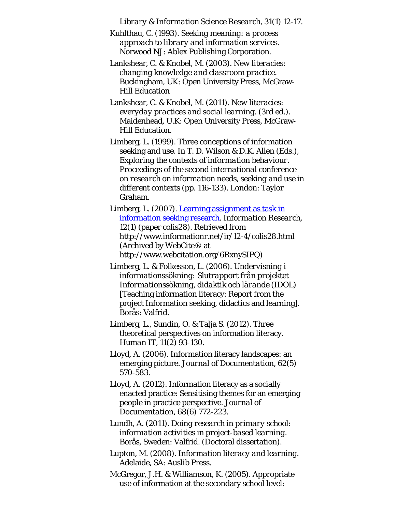*Library & Information Science Research, 31*(1) 12-17.

Kuhlthau, C. (1993). *Seeking meaning: a process approach to library and information services*. Norwood NJ: Ablex Publishing Corporation.

Lankshear, C. & Knobel, M. (2003). *New literacies: changing knowledge and classroom practice*. Buckingham, UK: Open University Press, McGraw-Hill Education

Lankshear, C. & Knobel, M. (2011). *New literacies: everyday practices and social learning*. (3rd ed.). Maidenhead, U.K: Open University Press, McGraw-Hill Education.

Limberg, L. (1999). Three conceptions of information seeking and use. In T. D. Wilson & D.K. Allen (Eds.), *Exploring the contexts of information behaviour. Proceedings of the second international conference on research on information needs, seeking and use in different contexts* (pp. 116-133). London: Taylor Graham.

Limberg, L. (2007). [Learning assignment as task in](http://www.webcitation.org/6RxnySIPQ) [information seeking research.](http://www.webcitation.org/6RxnySIPQ) *Information Research, 12*(1) (paper colis28). Retrieved from http://www.informationr.net/ir/12-4/colis28.html (Archived by WebCite® at http://www.webcitation.org/6RxnySIPQ)

- Limberg, L. & Folkesson, L. (2006). *Undervisning i informationssökning: Slutrapport från projektet Informationssökning, didaktik och lärande (IDOL)* [Teaching information literacy: Report from the project Information seeking, didactics and learning]. Borås: Valfrid.
- Limberg, L., Sundin, O. & Talja S. (2012). Three theoretical perspectives on information literacy. *Human IT, 11*(2) 93-130.
- Lloyd, A. (2006). Information literacy landscapes: an emerging picture. *Journal of Documentation, 62*(5) 570-583.

Lloyd, A. (2012). Information literacy as a socially enacted practice: Sensitising themes for an emerging people in practice perspective. *Journal of Documentation, 68*(6) 772-223.

Lundh, A. (2011). *Doing research in primary school: information activities in project-based learning*. Borås, Sweden: Valfrid. (Doctoral dissertation).

Lupton, M. (2008). *Information literacy and learning*. Adelaide, SA: Auslib Press.

McGregor, J.H. & Williamson, K. (2005). Appropriate use of information at the secondary school level: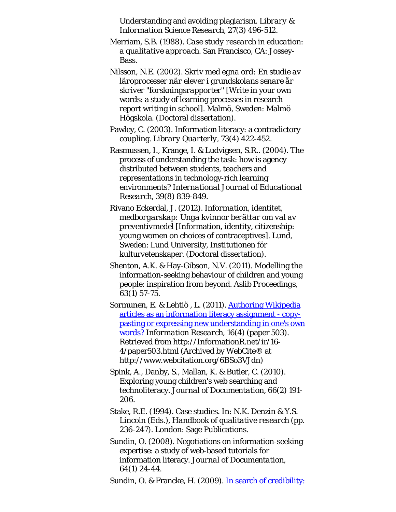Understanding and avoiding plagiarism. *Library & Information Science Research, 27*(3) 496-512.

- Merriam, S.B. (1988). *Case study research in education: a qualitative approach*. San Francisco, CA: Jossey-Bass.
- Nilsson, N.E. (2002). *Skriv med egna ord: En studie av läroprocesser när elever i grundskolans senare år skriver "forskningsrapporter"* [Write in your own words: a study of learning processes in research report writing in school]. Malmö, Sweden: Malmö Högskola. (Doctoral dissertation).
- Pawley, C. (2003). Information literacy: a contradictory coupling. *Library Quarterly, 73*(4) 422-452.
- Rasmussen, I., Krange, I. & Ludvigsen, S.R.. (2004). The process of understanding the task: how is agency distributed between students, teachers and representations in technology-rich learning environments? *International Journal of Educational Research, 39*(8) 839-849.
- Rivano Eckerdal, J. (2012). *Information, identitet, medborgarskap: Unga kvinnor berättar om val av preventivmedel* [Information, identity, citizenship: young women on choices of contraceptives]. Lund, Sweden: Lund University, Institutionen för kulturvetenskaper. (Doctoral dissertation).
- Shenton, A.K. & Hay-Gibson, N.V. (2011). Modelling the information-seeking behaviour of children and young people: inspiration from beyond. *Aslib Proceedings, 63*(1) 57-75.
- Sormunen, E. & Lehtiö, L. (2011). **[Authoring Wikipedia](http://www.webcitation.org/6BSo3VJdn)** [articles as an information literacy assignment - copy](http://www.webcitation.org/6BSo3VJdn)[pasting or expressing new understanding in one's own](http://www.webcitation.org/6BSo3VJdn) [words?](http://www.webcitation.org/6BSo3VJdn) *Information Research, 16*(4) (paper 503). Retrieved from http://InformationR.net/ir/16- 4/paper503.html (Archived by WebCite® at http://www.webcitation.org/6BSo3VJdn)
- Spink, A., Danby, S., Mallan, K. & Butler, C. (2010). Exploring young children's web searching and technoliteracy. *Journal of Documentation, 66*(2) 191- 206.
- Stake, R.E. (1994). Case studies. In: N.K. Denzin & Y.S. Lincoln (Eds.), *Handbook of qualitative research* (pp. 236-247). London: Sage Publications.
- Sundin, O. (2008). Negotiations on information-seeking expertise: a study of web-based tutorials for information literacy. *Journal of Documentation, 64*(1) 24-44.

Sundin, O. & Francke, H. (2009). [In search of credibility:](http://www.webcitation.org/5tzj2fj1h)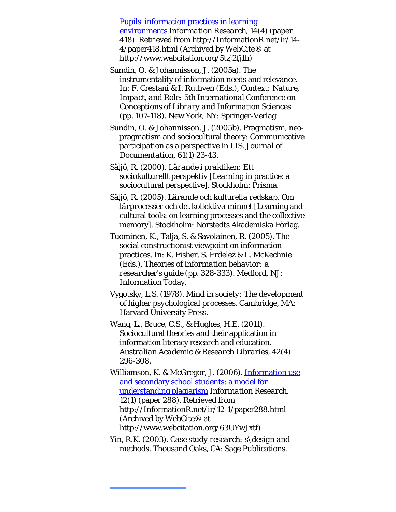<span id="page-26-9"></span><span id="page-26-0"></span>[Pupils' information practices in learning](http://www.webcitation.org/5tzj2fj1h) [environments](http://www.webcitation.org/5tzj2fj1h) *Information Research, 14*(4) (paper 418). Retrieved from http://InformationR.net/ir/14- 4/paper418.html (Archived by WebCite® at http://www.webcitation.org/5tzj2fj1h)

<span id="page-26-4"></span>Sundin, O. & Johannisson, J. (2005a). The instrumentality of information needs and relevance. In: F. Crestani & I. Ruthven (Eds.), *Context: Nature, Impact, and Role: 5th International Conference on Conceptions of Library and Information Sciences* (pp. 107-118). New York, NY: Springer-Verlag.

<span id="page-26-8"></span>Sundin, O. & Johannisson, J. (2005b). Pragmatism, neopragmatism and sociocultural theory: Communicative participation as a perspective in LIS. *Journal of Documentation, 61*(1) 23-43.

<span id="page-26-1"></span>Säljö, R. (2000). *Lärande i praktiken: Ett sociokulturellt perspektiv* [Learning in practice: a sociocultural perspective]. Stockholm: Prisma.

<span id="page-26-2"></span>Säljö, R. (2005). *Lärande och kulturella redskap. Om lärprocesser och det kollektiva minnet* [Learning and cultural tools: on learning processes and the collective memory]. Stockholm: Norstedts Akademiska Förlag.

<span id="page-26-5"></span>Tuominen, K., Talja, S. & Savolainen, R. (2005). The social constructionist viewpoint on information practices. In: K. Fisher, S. Erdelez & L. McKechnie (Eds.), *Theories of information behavior: a researcher's guide* (pp. 328-333). Medford, NJ: Information Today.

<span id="page-26-3"></span>Vygotsky, L.S. (1978). *Mind in society: The development of higher psychological processes*. Cambridge, MA: Harvard University Press.

<span id="page-26-6"></span>Wang, L., Bruce, C.S., & Hughes, H.E. (2011). Sociocultural theories and their application in information literacy research and education. *Australian Academic & Research Libraries, 42*(4) 296-308.

Williamson, K. & McGregor, J. (2006). [Information use](http://www.webcitation.org/63UYwJxtf) [and secondary school students: a model for](http://www.webcitation.org/63UYwJxtf) [understanding plagiarism](http://www.webcitation.org/63UYwJxtf) *Information Research. 12*(1) (paper 288). Retrieved from http://InformationR.net/ir/12-1/paper288.html (Archived by WebCite® at http://www.webcitation.org/63UYwJxtf)

<span id="page-26-7"></span>Yin, R.K. (2003). *Case study research: s\design and methods*. Thousand Oaks, CA: Sage Publications.